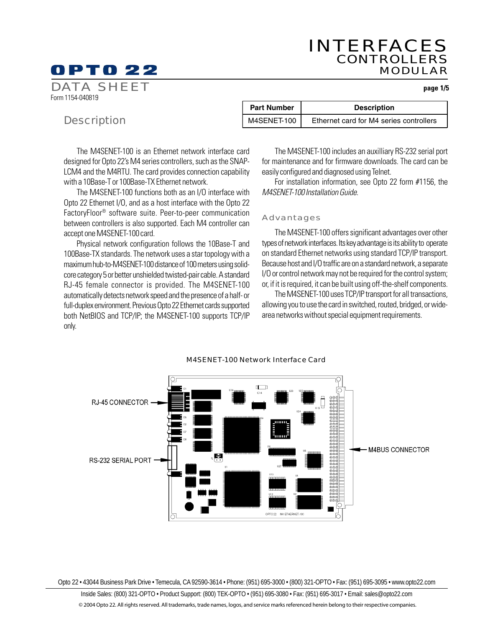# INTERFACES CONTROLLERS MODULAR

# OPTO 22

**page 1/5**

DATA SHEET Form 1154-040819

# **Description**

| <b>Part Number</b> | <b>Description</b><br>Ethernet card for M4 series controllers |  |
|--------------------|---------------------------------------------------------------|--|
| M4SENET-100        |                                                               |  |

The M4SENET-100 is an Ethernet network interface card designed for Opto 22's M4 series controllers, such as the SNAP-LCM4 and the M4RTU. The card provides connection capability with a 10Base-T or 100Base-TX Ethernet network.

The M4SENET-100 functions both as an I/O interface with Opto 22 Ethernet I/O, and as a host interface with the Opto 22 FactoryFloor® software suite. Peer-to-peer communication between controllers is also supported. Each M4 controller can accept one M4SENET-100 card.

Physical network configuration follows the 10Base-T and 100Base-TX standards. The network uses a star topology with a maximum hub-to-M4SENET-100 distance of 100 meters using solidcore category 5 or better unshielded twisted-pair cable. A standard RJ-45 female connector is provided. The M4SENET-100 automatically detects network speed and the presence of a half- or full-duplex environment. Previous Opto 22 Ethernet cards supported both NetBIOS and TCP/IP; the M4SENET-100 supports TCP/IP only.

The M4SENET-100 includes an auxilliary RS-232 serial port for maintenance and for firmware downloads. The card can be easily configured and diagnosed using Telnet.

For installation information, see Opto 22 form #1156, the M4SENET-100 Installation Guide.

# Advantages

The M4SENET-100 offers significant advantages over other types of network interfaces. Its key advantage is its ability to operate on standard Ethernet networks using standard TCP/IP transport. Because host and I/O traffic are on a standard network, a separate I/O or control network may not be required for the control system; or, if it is required, it can be built using off-the-shelf components.

The M4SENET-100 uses TCP/IP transport for all transactions, allowing you to use the card in switched, routed, bridged, or widearea networks without special equipment requirements.



#### M4SENET-100 Network Interface Card

Opto 22 • 43044 Business Park Drive • Temecula, CA 92590-3614 • Phone: (951) 695-3000 • (800) 321-OPTO • Fax: (951) 695-3095 • www.opto22.com

Inside Sales: (800) 321-OPTO • Product Support: (800) TEK-OPTO • (951) 695-3080 • Fax: (951) 695-3017 • Email: sales@opto22.com © 2004 Opto 22. All rights reserved. All trademarks, trade names, logos, and service marks referenced herein belong to their respective companies.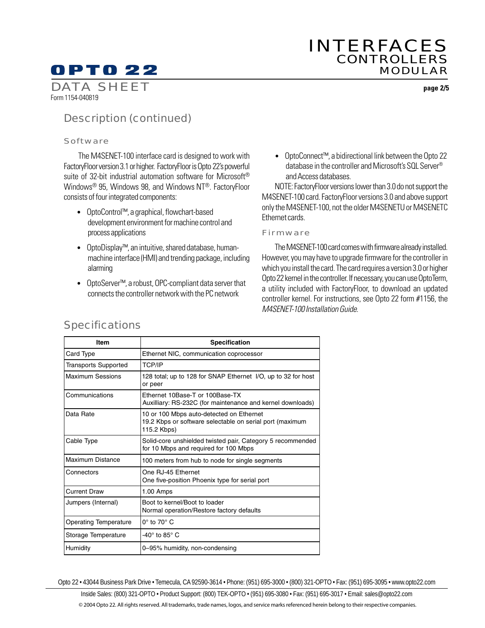# OPTO 22

# INTERFACES CONTROLLERS MODULAR

DATA SHEET Form 1154-040819

**page 2/5**

# Description (continued)

#### Software

 The M4SENET-100 interface card is designed to work with FactoryFloor version 3.1 or higher. FactoryFloor is Opto 22's powerful suite of 32-bit industrial automation software for Microsoft® Windows® 95, Windows 98, and Windows NT®. FactoryFloor consists of four integrated components:

- OptoControl™, a graphical, flowchart-based development environment for machine control and process applications
- OptoDisplay™, an intuitive, shared database, humanmachine interface (HMI) and trending package, including alarming
- OptoServer™, a robust, OPC-compliant data server that connects the controller network with the PC network

• OptoConnect™, a bidirectional link between the Opto 22 database in the controller and Microsoft's SQL Server® and Access databases.

NOTE: FactoryFloor versions lower than 3.0 do not support the M4SENET-100 card. FactoryFloor versions 3.0 and above support only the M4SENET-100, not the older M4SENETU or M4SENETC Ethernet cards.

#### Firmware

The M4SENET-100 card comes with firmware already installed. However, you may have to upgrade firmware for the controller in which you install the card. The card requires a version 3.0 or higher Opto 22 kernel in the controller. If necessary, you can use OptoTerm, a utility included with FactoryFloor, to download an updated controller kernel. For instructions, see Opto 22 form #1156, the M4SENET-100 Installation Guide.

| <b>Item</b>                 | Specification                                                                                                       |  |  |
|-----------------------------|---------------------------------------------------------------------------------------------------------------------|--|--|
| Card Type                   | Ethernet NIC, communication coprocessor                                                                             |  |  |
| <b>Transports Supported</b> | <b>TCP/IP</b>                                                                                                       |  |  |
| <b>Maximum Sessions</b>     | 128 total; up to 128 for SNAP Ethernet I/O, up to 32 for host<br>or peer                                            |  |  |
| Communications              | Ethernet 10Base-T or 100Base-TX<br>Auxilliary: RS-232C (for maintenance and kernel downloads)                       |  |  |
| Data Rate                   | 10 or 100 Mbps auto-detected on Ethernet<br>19.2 Kbps or software selectable on serial port (maximum<br>115.2 Kbps) |  |  |
| Cable Type                  | Solid-core unshielded twisted pair, Category 5 recommended<br>for 10 Mbps and required for 100 Mbps                 |  |  |
| Maximum Distance            | 100 meters from hub to node for single segments                                                                     |  |  |
| Connectors                  | One RJ-45 Ethernet<br>One five-position Phoenix type for serial port                                                |  |  |
| <b>Current Draw</b>         | $1.00$ Amps                                                                                                         |  |  |
| Jumpers (Internal)          | Boot to kernel/Boot to loader<br>Normal operation/Restore factory defaults                                          |  |  |
| Operating Temperature       | $0^\circ$ to 70° C                                                                                                  |  |  |
| Storage Temperature         | -40 $^{\circ}$ to 85 $^{\circ}$ C                                                                                   |  |  |
| Humidity                    | 0-95% humidity, non-condensing                                                                                      |  |  |

# **Specifications**

Opto 22 • 43044 Business Park Drive • Temecula, CA 92590-3614 • Phone: (951) 695-3000 • (800) 321-OPTO • Fax: (951) 695-3095 • www.opto22.com

Inside Sales: (800) 321-OPTO • Product Support: (800) TEK-OPTO • (951) 695-3080 • Fax: (951) 695-3017 • Email: sales@opto22.com © 2004 Opto 22. All rights reserved. All trademarks, trade names, logos, and service marks referenced herein belong to their respective companies.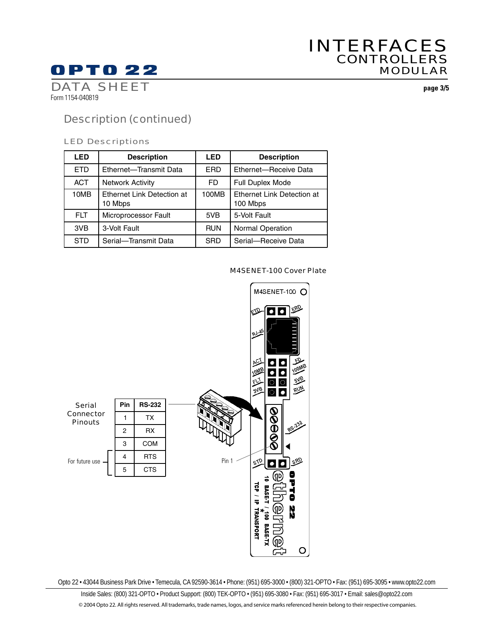# **OPTO 22**

# INTERFACES **CONTROLLERS** MODULAR

DATA SHEET Form 1154-040819

**page 3/5**

# Description (continued)

# LED Descriptions

| LED        | <b>Description</b>                    | LED        | <b>Description</b>                     |
|------------|---------------------------------------|------------|----------------------------------------|
| ETD        | Ethernet-Transmit Data                | ERD        | Ethernet-Receive Data                  |
| <b>ACT</b> | <b>Network Activity</b>               | FD         | Full Duplex Mode                       |
| 10MB       | Ethernet Link Detection at<br>10 Mbps | 100MB      | Ethernet Link Detection at<br>100 Mbps |
| FLT.       | Microprocessor Fault                  | 5VB        | 5-Volt Fault                           |
| 3VB        | 3-Volt Fault                          | <b>RUN</b> | Normal Operation                       |
| STD        | Serial-Transmit Data                  | <b>SRD</b> | Serial-Receive Data                    |

# M4SENET-100 Cover Plate



Opto 22 • 43044 Business Park Drive • Temecula, CA 92590-3614 • Phone: (951) 695-3000 • (800) 321-OPTO • Fax: (951) 695-3095 • www.opto22.com

Inside Sales: (800) 321-OPTO • Product Support: (800) TEK-OPTO • (951) 695-3080 • Fax: (951) 695-3017 • Email: sales@opto22.com © 2004 Opto 22. All rights reserved. All trademarks, trade names, logos, and service marks referenced herein belong to their respective companies.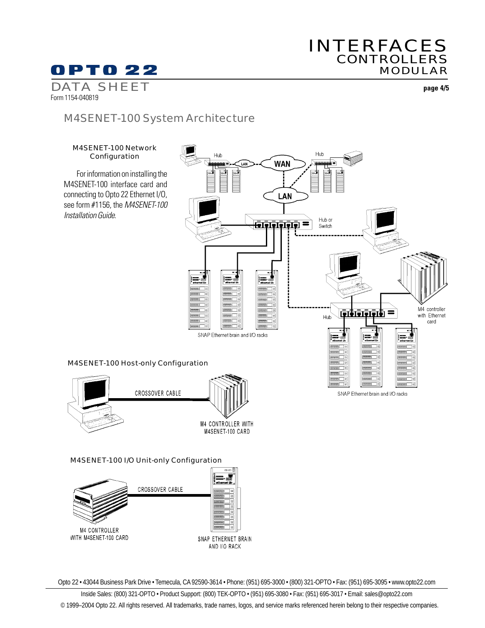# INTERFACES **CONTROLLERS** MODULAR

**OPTO 22** 

DATA SHEET Form 1154-040819

**page 4/5**

# M4SENET-100 System Architecture



**M4 CONTROLLER** WITH M4SENET-100 CARD

SNAP ETHERNET BRAIN AND I/O RACK

Opto 22 • 43044 Business Park Drive • Temecula, CA 92590-3614 • Phone: (951) 695-3000 • (800) 321-OPTO • Fax: (951) 695-3095 • www.opto22.com

Inside Sales: (800) 321-OPTO • Product Support: (800) TEK-OPTO • (951) 695-3080 • Fax: (951) 695-3017 • Email: sales@opto22.com © 1999–2004 Opto 22. All rights reserved. All trademarks, trade names, logos, and service marks referenced herein belong to their respective companies.